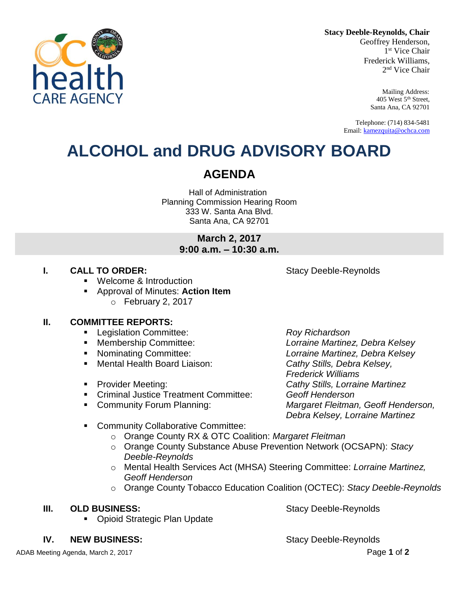**Stacy Deeble-Reynolds, Chair**

Geoffrey Henderson, 1 st Vice Chair Frederick Williams, 2 nd Vice Chair

> Mailing Address: 405 West 5th Street, Santa Ana, CA 92701

Telephone: (714) 834-5481 Email: [kamezquita@ochca.com](mailto:kamezquita@ochca.com)

## **ALCOHOL and DRUG ADVISORY BOARD**

### **AGENDA**

Hall of Administration Planning Commission Hearing Room 333 W. Santa Ana Blvd. Santa Ana, CA 92701

> **March 2, 2017 9:00 a.m. – 10:30 a.m.**

### **I. CALL TO ORDER:** Stacy Deeble-Reynolds

healt

**ARF AGFNC** 

- Welcome & Introduction
- Approval of Minutes: **Action Item** o February 2, 2017

### **II. COMMITTEE REPORTS:**

- Legislation Committee: *Roy Richardson*
- 
- 
- Mental Health Board Liaison: *Cathy Stills, Debra Kelsey,*
- 
- Criminal Justice Treatment Committee: *Geoff Henderson*
- 

 Membership Committee: *Lorraine Martinez, Debra Kelsey* Nominating Committee: *Lorraine Martinez, Debra Kelsey Frederick Williams* Provider Meeting: *Cathy Stills, Lorraine Martinez* Community Forum Planning: *Margaret Fleitman, Geoff Henderson, Debra Kelsey, Lorraine Martinez*

- **EXECOMMUNITY Collaborative Committee:** 
	- o Orange County RX & OTC Coalition: *Margaret Fleitman*
	- o Orange County Substance Abuse Prevention Network (OCSAPN): *Stacy Deeble-Reynolds*
	- o Mental Health Services Act (MHSA) Steering Committee: *Lorraine Martinez, Geoff Henderson*
	- o Orange County Tobacco Education Coalition (OCTEC): *Stacy Deeble-Reynolds*

### **III. OLD BUSINESS:** Stacy Deeble-Reynolds

Opioid Strategic Plan Update

**IV. NEW BUSINESS:** Stacy Deeble-Reynolds

ADAB Meeting Agenda, March 2, 2017 Page **1** of **2**